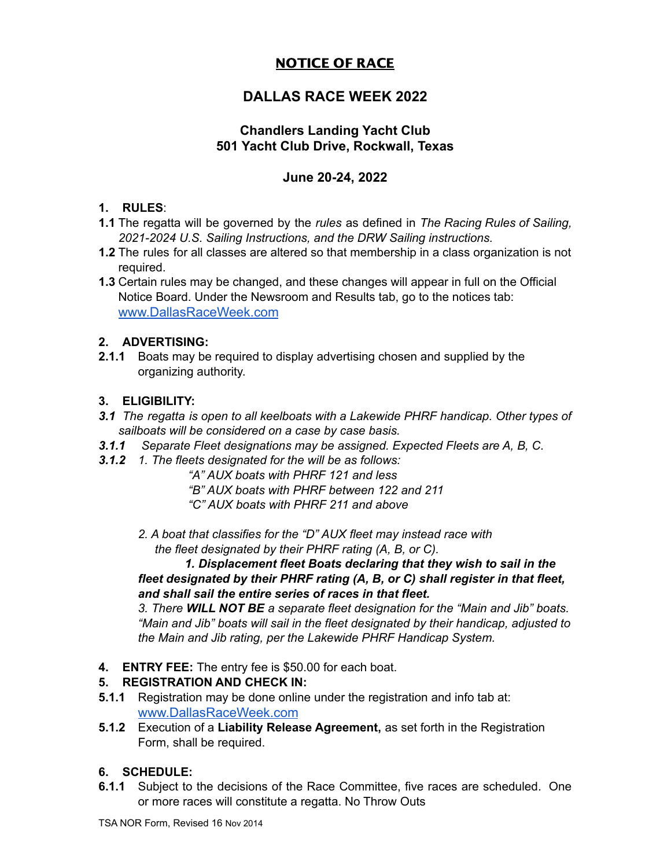# NOTICE OF RACE

# **DALLAS RACE WEEK 2022**

# **Chandlers Landing Yacht Club 501 Yacht Club Drive, Rockwall, Texas**

## **June 20-24, 2022**

### **1. RULES**:

- **1.1** The regatta will be governed by the *rules* as defined in *The Racing Rules of Sailing, 2021-2024 U.S. Sailing Instructions, and the DRW Sailing instructions.*
- **1.2** The rules for all classes are altered so that membership in a class organization is not required.

**1.3** Certain rules may be changed, and these changes will appear in full on the Official Notice Board. Under the Newsroom and Results tab, go to the notices tab: [www.DallasRaceWeek.com](http://www.dallasraceweek.com)

### **2. ADVERTISING:**

**2.1.1** Boats may be required to display advertising chosen and supplied by the organizing authority.

### **3. ELIGIBILITY:**

- *3.1 The regatta is open to all keelboats with a Lakewide PHRF handicap. Other types of sailboats will be considered on a case by case basis.*
- *3.1.1 Separate Fleet designations may be assigned. Expected Fleets are A, B, C.*
- *3.1.2 1. The fleets designated for the will be as follows:*
	- *"A" AUX boats with PHRF 121 and less*
	- *"B" AUX boats with PHRF between 122 and 211*
	- *"C" AUX boats with PHRF 211 and above*
	- *2. A boat that classifies for the "D" AUX fleet may instead race with the fleet designated by their PHRF rating (A, B, or C).*

*1. Displacement fleet Boats declaring that they wish to sail in the fleet designated by their PHRF rating (A, B, or C) shall register in that fleet, and shall sail the entire series of races in that fleet.*

*3. There WILL NOT BE a separate fleet designation for the "Main and Jib" boats. "Main and Jib" boats will sail in the fleet designated by their handicap, adjusted to the Main and Jib rating, per the Lakewide PHRF Handicap System.*

**4. ENTRY FEE:** The entry fee is \$50.00 for each boat.

## **5. REGISTRATION AND CHECK IN:**

- **5.1.1** Registration may be done online under the registration and info tab at: [www.DallasRaceWeek.com](http://www.dallasraceweek.com)
- **5.1.2** Execution of a **Liability Release Agreement,** as set forth in the Registration Form, shall be required.

## **6. SCHEDULE:**

**6.1.1** Subject to the decisions of the Race Committee, five races are scheduled. One or more races will constitute a regatta. No Throw Outs